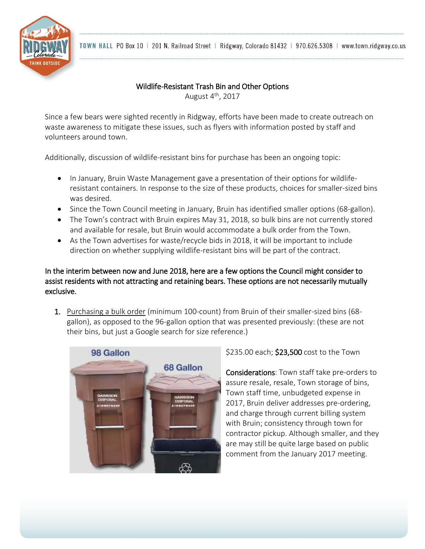

# Wildlife-Resistant Trash Bin and Other Options

August 4<sup>th</sup>, 2017

Since a few bears were sighted recently in Ridgway, efforts have been made to create outreach on waste awareness to mitigate these issues, such as flyers with information posted by staff and volunteers around town.

Additionally, discussion of wildlife-resistant bins for purchase has been an ongoing topic:

- In January, Bruin Waste Management gave a presentation of their options for wildliferesistant containers. In response to the size of these products, choices for smaller-sized bins was desired.
- Since the Town Council meeting in January, Bruin has identified smaller options (68-gallon).
- The Town's contract with Bruin expires May 31, 2018, so bulk bins are not currently stored and available for resale, but Bruin would accommodate a bulk order from the Town.
- As the Town advertises for waste/recycle bids in 2018, it will be important to include direction on whether supplying wildlife-resistant bins will be part of the contract.

# In the interim between now and June 2018, here are a few options the Council might consider to assist residents with not attracting and retaining bears. These options are not necessarily mutually exclusive.

1. Purchasing a bulk order (minimum 100-count) from Bruin of their smaller-sized bins (68 gallon), as opposed to the 96-gallon option that was presented previously: (these are not their bins, but just a Google search for size reference.)



\$235.00 each; **\$23,500** cost to the Town

Considerations: Town staff take pre-orders to assure resale, resale, Town storage of bins, Town staff time, unbudgeted expense in 2017, Bruin deliver addresses pre-ordering, and charge through current billing system with Bruin; consistency through town for contractor pickup. Although smaller, and they are may still be quite large based on public comment from the January 2017 meeting.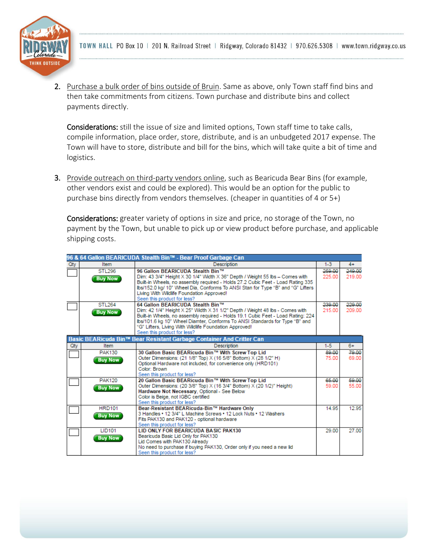

2. Purchase a bulk order of bins outside of Bruin. Same as above, only Town staff find bins and then take commitments from citizens. Town purchase and distribute bins and collect payments directly.

Considerations: still the issue of size and limited options, Town staff time to take calls, compile information, place order, store, distribute, and is an unbudgeted 2017 expense. The Town will have to store, distribute and bill for the bins, which will take quite a bit of time and logistics.

3. Provide outreach on third-party vendors online, such as Bearicuda Bear Bins (for example, other vendors exist and could be explored). This would be an option for the public to purchase bins directly from vendors themselves. (cheaper in quantities of 4 or 5+)

Considerations: greater variety of options in size and price, no storage of the Town, no payment by the Town, but unable to pick up or view product before purchase, and applicable shipping costs.

| 96 & 64 Gallon BEARICUDA Stealth Bin™ - Bear Proof Garbage Can        |                                  |                                                                                                                                                                                                                                                                                                                                                                                  |                  |                  |
|-----------------------------------------------------------------------|----------------------------------|----------------------------------------------------------------------------------------------------------------------------------------------------------------------------------------------------------------------------------------------------------------------------------------------------------------------------------------------------------------------------------|------------------|------------------|
| Qtv                                                                   | Item                             | <b>Description</b>                                                                                                                                                                                                                                                                                                                                                               | $1-3$            | $4+$             |
|                                                                       | <b>STI 296</b><br><b>Buy Now</b> | 96 Gallon BEARICUDA Stealth Bin™<br>Dim: 43 3/4" Height $\times$ 30 1/4" Width $\times$ 36" Depth / Weight 55 lbs - Comes with<br>Built-in Wheels, no assembly required - Holds 27.2 Cubic Feet - Load Rating 335<br>Ibs/152.0 kg/ 10" Wheel Dia, Conforms To ANSI Stan for Type "B" and "G" Lifters<br>Living With Wildlife Foundation Approved!<br>Seen this product for less? | 259.00<br>225.00 | 249.00<br>219.00 |
|                                                                       | STI 264<br><b>Buy Now</b>        | 64 Gallon BEARICUDA Stealth Bin™<br>Dim: 42 1/4" Height X 25" Width X 31 1/2" Depth / Weight 48 lbs - Comes with<br>Built-in Wheels, no assembly required - Holds 19.1 Cubic Feet - Load Rating: 224<br>Ibs/101.6 kg 10" Wheel Diamter, Conforms To ANSI Standards for Type "B" and<br>"G" Lifters, Living With Wildlife Foundation Approved!<br>Seen this product for less?     | 239.00<br>215.00 | 229.00<br>209.00 |
| Basic BEARicuda Bin™ Bear Resistant Garbage Container And Critter Can |                                  |                                                                                                                                                                                                                                                                                                                                                                                  |                  |                  |
| Qty                                                                   | <b>Item</b>                      | Description                                                                                                                                                                                                                                                                                                                                                                      | $1-5$            | $6+$             |
|                                                                       | <b>PAK130</b><br><b>Buy Now</b>  | 30 Gallon Basic BEARicuda Bin™ With Screw Top Lid<br>Outer Dimensions: (21 1/8" Top) X (16 5/8" Bottom) X (28 1/2" H)<br>Optional Hardware not included, for convenience only (HRD101)<br>Color: Brown<br>Seen this product for less?                                                                                                                                            | 89.00<br>75.00   | 79.00<br>69.00   |
|                                                                       | <b>PAK120</b><br><b>Buy Now</b>  | 20 Gallon Basic BEARicuda Bin™ With Screw Top Lid<br>Outer Dimensions: (20 3/8" Top) X (16 3/4" Bottom) X (20 1/2)" Height)<br>Hardware Not Necessary, Optional - See Below<br>Color is Beige, not IGBC certified<br>Seen this product for less?                                                                                                                                 | 65.00<br>59.00   | 59.00<br>55.00   |
|                                                                       | <b>HRD101</b><br><b>Buy Now</b>  | Bear-Resistant BEARicuda-Bin™ Hardware Only<br>3 Handles . 12 3/4" L Machine Screws . 12 Lock Nuts . 12 Washers<br>Fits PAK130 and PAK120 - optional hardware<br>Seen this product for less?                                                                                                                                                                                     | 14.95            | 12.95            |
|                                                                       | <b>LID101</b><br><b>Buy Now</b>  | LID ONLY FOR BEARICUDA BASIC PAK130<br>Bearicuda Basic Lid Only for PAK130<br>Lid Comes with PAK130 Already<br>No need to purchase if buying PAK130, Order only if you need a new lid<br>Seen this product for less?                                                                                                                                                             | 29.00            | 27.00            |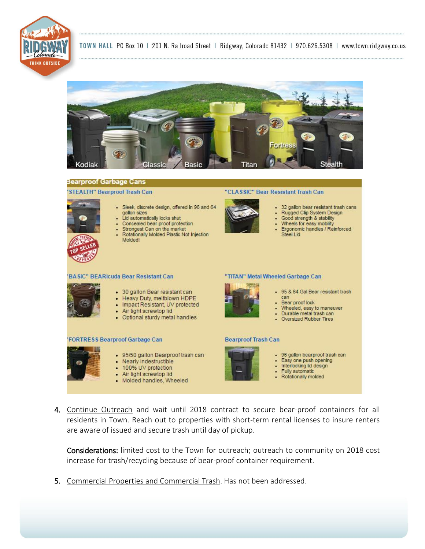



## **Bearproof Garbage Cans**

#### 'STEALTH" Bearproof Trash Can



- · Sleek, discrete design, offered in 96 and 64 gallon sizes
- Lid automatically locks shut
- Concealed bear proof protection Strongest Can on the market
- ٠  $\blacksquare$
- Rotationally Molded Plastic Not Injection Molded!

#### **BASIC" BEARicuda Bear Resistant Can**

- 30 gallon Bear resistant can
- Heavy Duty, meltblown HDPE
- - Impact Resistant, UV protected
		- Air tight screwtop lid
		- Optional sturdy metal handles

### 'FORTRESS Bearproof Garbage Can



- . 95/50 gallon Bearproof trash can
- Nearly indestructible - 100% UV protection
- Air tight screwtop lid
- Molded handles, Wheeled
- 

# "TITAN" Metal Wheeled Garbage Can



"CLASSIC" Bear Resistant Trash Can

 $\bullet$ 

٠

• 95 & 64 Gal Bear resistant trash

32 gallon bear resistant trash cans

Rugged Clip System Design

- Ergonomic handles / Reinforced

Good strength & stability

• Wheels for easy mobility

Steel Lid

- can - Bear proof lock
- 
- Wheeled, easy to maneuver<br>• Durable metal trash can
- Oversized Rubber Tires

#### **Bearproof Trash Can**



- 96 gallon bearproof trash can
- Easy one push opening - Interlocking lid design
- Fully automatic
- Rotationally molded
- 4. Continue Outreach and wait until 2018 contract to secure bear-proof containers for all residents in Town. Reach out to properties with short-term rental licenses to insure renters are aware of issued and secure trash until day of pickup.

Considerations: limited cost to the Town for outreach; outreach to community on 2018 cost increase for trash/recycling because of bear-proof container requirement.

5. Commercial Properties and Commercial Trash. Has not been addressed.